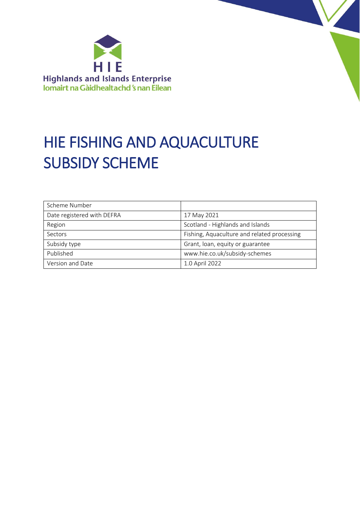

# HIE FISHING AND AQUACULTURE SUBSIDY SCHEME

| Scheme Number              |                                             |
|----------------------------|---------------------------------------------|
| Date registered with DEFRA | 17 May 2021                                 |
| Region                     | Scotland - Highlands and Islands            |
| Sectors                    | Fishing, Aquaculture and related processing |
| Subsidy type               | Grant, loan, equity or guarantee            |
| Published                  | www.hie.co.uk/subsidy-schemes               |
| Version and Date           | 1.0 April 2022                              |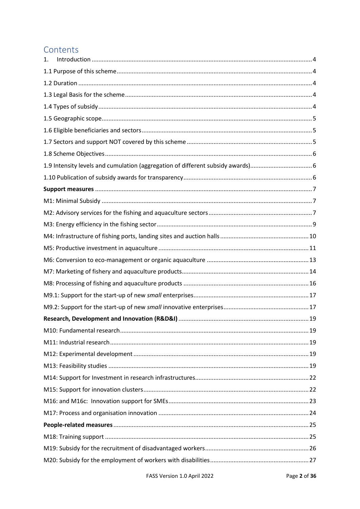# Contents

| 1. |
|----|
|    |
|    |
|    |
|    |
|    |
|    |
|    |
|    |
|    |
|    |
|    |
|    |
|    |
|    |
|    |
|    |
|    |
|    |
|    |
|    |
|    |
|    |
|    |
|    |
|    |
|    |
|    |
|    |
|    |
|    |
|    |
|    |
|    |
|    |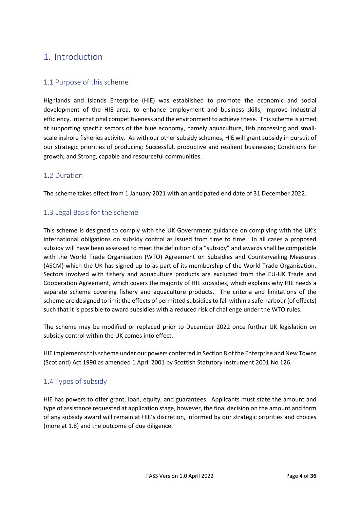# <span id="page-3-0"></span>1. Introduction

# <span id="page-3-1"></span>1.1 Purpose of this scheme

Highlands and Islands Enterprise (HIE) was established to promote the economic and social development of the HIE area, to enhance employment and business skills, improve industrial efficiency, international competitiveness and the environment to achieve these. This scheme is aimed at supporting specific sectors of the blue economy, namely aquaculture, fish processing and smallscale inshore fisheries activity. As with our other subsidy schemes, HIE will grant subsidy in pursuit of our strategic priorities of producing: Successful, productive and resilient businesses; Conditions for growth; and Strong, capable and resourceful communities.

# <span id="page-3-2"></span>1.2 Duration

The scheme takes effect from 1 January 2021 with an anticipated end date of 31 December 2022.

# <span id="page-3-3"></span>1.3 Legal Basis for the scheme

This scheme is designed to comply with the UK Government guidance on complying with the UK's international obligations on subsidy control as issued from time to time. In all cases a proposed subsidy will have been assessed to meet the definition of a "subsidy" and awards shall be compatible with the World Trade Organisation (WTO) Agreement on Subsidies and Countervailing Measures (ASCM) which the UK has signed up to as part of its membership of the World Trade Organisation. Sectors involved with fishery and aquaculture products are excluded from the EU-UK Trade and Cooperation Agreement, which covers the majority of HIE subsidies, which explains why HIE needs a separate scheme covering fishery and aquaculture products. The criteria and limitations of the scheme are designed to limit the effects of permitted subsidies to fall within a safe harbour (of effects) such that it is possible to award subsidies with a reduced risk of challenge under the WTO rules.

The scheme may be modified or replaced prior to December 2022 once further UK legislation on subsidy control within the UK comes into effect.

HIE implements this scheme under our powers conferred in Section 8 of the Enterprise and New Towns (Scotland) Act 1990 as amended 1 April 2001 by Scottish Statutory Instrument 2001 No 126.

# <span id="page-3-4"></span>1.4 Types of subsidy

HIE has powers to offer grant, loan, equity, and guarantees. Applicants must state the amount and type of assistance requested at application stage, however, the final decision on the amount and form of any subsidy award will remain at HIE's discretion, informed by our strategic priorities and choices (more at 1.8) and the outcome of due diligence.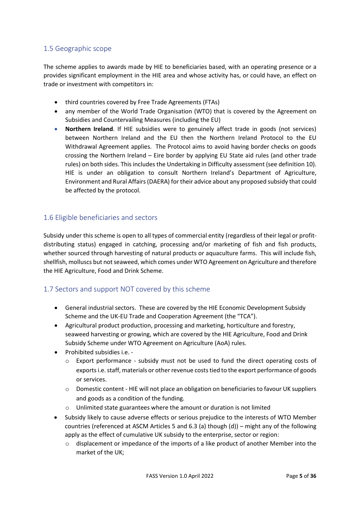# <span id="page-4-0"></span>1.5 Geographic scope

The scheme applies to awards made by HIE to beneficiaries based, with an operating presence or a provides significant employment in the HIE area and whose activity has, or could have, an effect on trade or investment with competitors in:

- third countries covered by Free Trade Agreements (FTAs)
- any member of the World Trade Organisation (WTO) that is covered by the Agreement on Subsidies and Countervailing Measures (including the EU)
- **Northern Ireland**. If HIE subsidies were to genuinely affect trade in goods (not services) between Northern Ireland and the EU then the Northern Ireland Protocol to the EU Withdrawal Agreement applies. The Protocol aims to avoid having border checks on goods crossing the Northern Ireland – Eire border by applying EU State aid rules (and other trade rules) on both sides. This includes the Undertaking in Difficulty assessment (see definition 10). HIE is under an obligation to consult Northern Ireland's Department of Agriculture, Environment and Rural Affairs(DAERA) for their advice about any proposed subsidy that could be affected by the protocol.

# <span id="page-4-1"></span>1.6 Eligible beneficiaries and sectors

Subsidy under this scheme is open to all types of commercial entity (regardless of their legal or profitdistributing status) engaged in catching, processing and/or marketing of fish and fish products, whether sourced through harvesting of natural products or aquaculture farms. This will include fish, shellfish, molluscs but not seaweed, which comes under WTO Agreement on Agriculture and therefore the HIE Agriculture, Food and Drink Scheme.

# <span id="page-4-2"></span>1.7 Sectors and support NOT covered by this scheme

- General industrial sectors. These are covered by the HIE Economic Development Subsidy Scheme and the UK-EU Trade and Cooperation Agreement (the "TCA").
- Agricultural product production, processing and marketing, horticulture and forestry, seaweed harvesting or growing, which are covered by the HIE Agriculture, Food and Drink Subsidy Scheme under WTO Agreement on Agriculture (AoA) rules.
- Prohibited subsidies i.e.
	- $\circ$  Export performance subsidy must not be used to fund the direct operating costs of exports i.e. staff, materials or other revenue costs tied to the export performance of goods or services.
	- o Domestic content HIE will not place an obligation on beneficiaries to favour UK suppliers and goods as a condition of the funding.
	- o Unlimited state guarantees where the amount or duration is not limited
- Subsidy likely to cause adverse effects or serious prejudice to the interests of WTO Member countries (referenced at ASCM Articles 5 and 6.3 (a) though (d)) – might any of the following apply as the effect of cumulative UK subsidy to the enterprise, sector or region:
	- $\circ$  displacement or impedance of the imports of a like product of another Member into the market of the UK;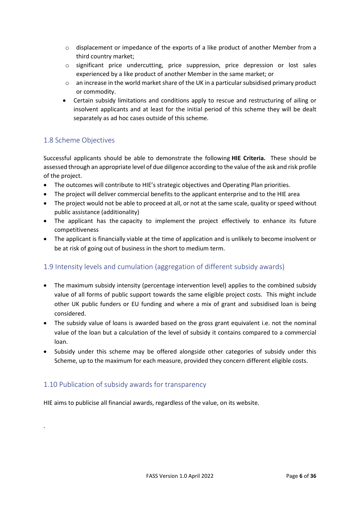- $\circ$  displacement or impedance of the exports of a like product of another Member from a third country market;
- o significant price undercutting, price suppression, price depression or lost sales experienced by a like product of another Member in the same market; or
- $\circ$  an increase in the world market share of the UK in a particular subsidised primary product or commodity.
- Certain subsidy limitations and conditions apply to rescue and restructuring of ailing or insolvent applicants and at least for the initial period of this scheme they will be dealt separately as ad hoc cases outside of this scheme.

# <span id="page-5-0"></span>1.8 Scheme Objectives

Successful applicants should be able to demonstrate the following **HIE Criteria.** These should be assessed through an appropriate level of due diligence according to the value of the ask and risk profile of the project.

- The outcomes will contribute to HIE's strategic objectives and Operating Plan priorities.
- The project will deliver commercial benefits to the applicant enterprise and to the HIE area
- The project would not be able to proceed at all, or not at the same scale, quality or speed without public assistance (additionality)
- The applicant has the capacity to implement the project effectively to enhance its future competitiveness
- The applicant is financially viable at the time of application and is unlikely to become insolvent or be at risk of going out of business in the short to medium term.

# <span id="page-5-1"></span>1.9 Intensity levels and cumulation (aggregation of different subsidy awards)

- The maximum subsidy intensity (percentage intervention level) applies to the combined subsidy value of all forms of public support towards the same eligible project costs. This might include other UK public funders or EU funding and where a mix of grant and subsidised loan is being considered.
- The subsidy value of loans is awarded based on the gross grant equivalent i.e. not the nominal value of the loan but a calculation of the level of subsidy it contains compared to a commercial loan.
- Subsidy under this scheme may be offered alongside other categories of subsidy under this Scheme, up to the maximum for each measure, provided they concern different eligible costs.

# <span id="page-5-2"></span>1.10 Publication of subsidy awards for transparency

.

HIE aims to publicise all financial awards, regardless of the value, on its website.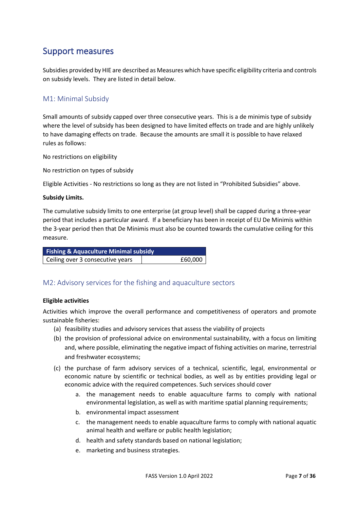# <span id="page-6-0"></span>Support measures

Subsidies provided by HIE are described as Measures which have specific eligibility criteria and controls on subsidy levels. They are listed in detail below.

# <span id="page-6-1"></span>M1: Minimal Subsidy

Small amounts of subsidy capped over three consecutive years. This is a de minimis type of subsidy where the level of subsidy has been designed to have limited effects on trade and are highly unlikely to have damaging effects on trade. Because the amounts are small it is possible to have relaxed rules as follows:

No restrictions on eligibility

No restriction on types of subsidy

Eligible Activities - No restrictions so long as they are not listed in "Prohibited Subsidies" above.

#### **Subsidy Limits.**

The cumulative subsidy limits to one enterprise (at group level) shall be capped during a three-year period that includes a particular award. If a beneficiary has been in receipt of EU De Minimis within the 3-year period then that De Minimis must also be counted towards the cumulative ceiling for this measure.

| <b>Fishing &amp; Aquaculture Minimal subsidy</b> |         |
|--------------------------------------------------|---------|
| Ceiling over 3 consecutive years                 | £60,000 |

# <span id="page-6-2"></span>M2: Advisory services for the fishing and aquaculture sectors

# **Eligible activities**

Activities which improve the overall performance and competitiveness of operators and promote sustainable fisheries:

- (a) feasibility studies and advisory services that assess the viability of projects
- (b) the provision of professional advice on environmental sustainability, with a focus on limiting and, where possible, eliminating the negative impact of fishing activities on marine, terrestrial and freshwater ecosystems;
- (c) the purchase of farm advisory services of a technical, scientific, legal, environmental or economic nature by scientific or technical bodies, as well as by entities providing legal or economic advice with the required competences. Such services should cover
	- a. the management needs to enable aquaculture farms to comply with national environmental legislation, as well as with maritime spatial planning requirements;
	- b. environmental impact assessment
	- c. the management needs to enable aquaculture farms to comply with national aquatic animal health and welfare or public health legislation;
	- d. health and safety standards based on national legislation;
	- e. marketing and business strategies.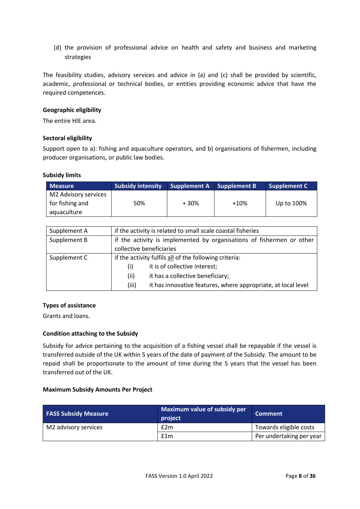(d) the provision of professional advice on health and safety and business and marketing strategies

The feasibility studies, advisory services and advice in (a) and (c) shall be provided by scientific, academic, professional or technical bodies, or entities providing economic advice that have the required competences.

# **Geographic eligibility**

The entire HIE area.

# **Sectoral eligibility**

Support open to a): fishing and aquaculture operators, and b) organisations of fishermen, including producer organisations, or public law bodies.

# **Subsidy limits**

| <b>Measure</b>       | <b>Subsidy intensity</b> | Supplement A Supplement B |        | <b>Supplement C</b> |
|----------------------|--------------------------|---------------------------|--------|---------------------|
| M2 Advisory services |                          |                           |        |                     |
| for fishing and      | 50%                      | +30%                      | $+10%$ | Up to 100%          |
| aquaculture          |                          |                           |        |                     |

| Supplement A | if the activity is related to small scale coastal fisheries            |  |
|--------------|------------------------------------------------------------------------|--|
| Supplement B | if the activity is implemented by organisations of fishermen or other  |  |
|              | collective beneficiaries                                               |  |
| Supplement C | if the activity fulfils all of the following criteria:                 |  |
|              | it is of collective interest;<br>(i)                                   |  |
|              | it has a collective beneficiary;<br>(ii)                               |  |
|              | it has innovative features, where appropriate, at local level<br>(iii) |  |

# **Types of assistance**

Grants and loans.

# **Condition attaching to the Subsidy**

Subsidy for advice pertaining to the acquisition of a fishing vessel shall be repayable if the vessel is transferred outside of the UK within 5 years of the date of payment of the Subsidy. The amount to be repaid shall be proportionate to the amount of time during the 5 years that the vessel has been transferred out of the UK.

# **Maximum Subsidy Amounts Per Project**

| <b>FASS Subsidy Measure</b>      | Maximum value of subsidy per<br>project | <b>Comment</b>           |
|----------------------------------|-----------------------------------------|--------------------------|
| M <sub>2</sub> advisory services | £2m                                     | Towards eligible costs   |
|                                  | f1m                                     | Per undertaking per year |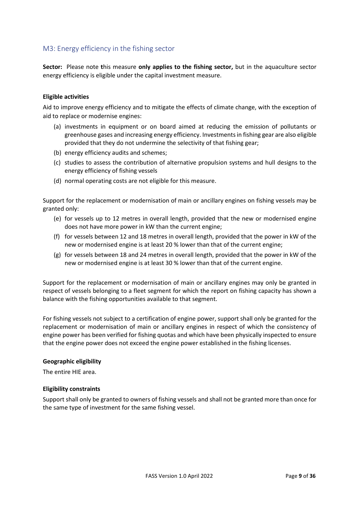# <span id="page-8-0"></span>M3: Energy efficiency in the fishing sector

**Sector:** Please note **t**his measure **only applies to the fishing sector,** but in the aquaculture sector energy efficiency is eligible under the capital investment measure.

#### **Eligible activities**

Aid to improve energy efficiency and to mitigate the effects of climate change, with the exception of aid to replace or modernise engines:

- (a) investments in equipment or on board aimed at reducing the emission of pollutants or greenhouse gases and increasing energy efficiency. Investments in fishing gear are also eligible provided that they do not undermine the selectivity of that fishing gear;
- (b) energy efficiency audits and schemes;
- (c) studies to assess the contribution of alternative propulsion systems and hull designs to the energy efficiency of fishing vessels
- (d) normal operating costs are not eligible for this measure.

Support for the replacement or modernisation of main or ancillary engines on fishing vessels may be granted only:

- (e) for vessels up to 12 metres in overall length, provided that the new or modernised engine does not have more power in kW than the current engine;
- (f) for vessels between 12 and 18 metres in overall length, provided that the power in kW of the new or modernised engine is at least 20 % lower than that of the current engine;
- (g) for vessels between 18 and 24 metres in overall length, provided that the power in kW of the new or modernised engine is at least 30 % lower than that of the current engine.

Support for the replacement or modernisation of main or ancillary engines may only be granted in respect of vessels belonging to a fleet segment for which the report on fishing capacity has shown a balance with the fishing opportunities available to that segment.

For fishing vessels not subject to a certification of engine power, support shall only be granted for the replacement or modernisation of main or ancillary engines in respect of which the consistency of engine power has been verified for fishing quotas and which have been physically inspected to ensure that the engine power does not exceed the engine power established in the fishing licenses.

#### **Geographic eligibility**

The entire HIE area.

# **Eligibility constraints**

Support shall only be granted to owners of fishing vessels and shall not be granted more than once for the same type of investment for the same fishing vessel.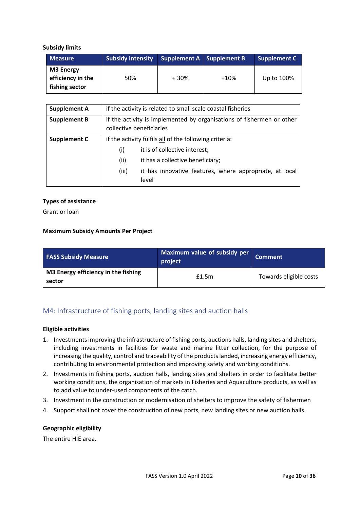#### **Subsidy limits**

| <b>Measure</b>                                          | <b>Subsidy intensity</b> | Supplement A Supplement B |        | <b>Supplement C</b> |
|---------------------------------------------------------|--------------------------|---------------------------|--------|---------------------|
| <b>M3 Energy</b><br>efficiency in the<br>fishing sector | 50%                      | $+30%$                    | $+10%$ | Up to 100%          |

| <b>Supplement A</b> | if the activity is related to small scale coastal fisheries                                                                                                                                                             |  |
|---------------------|-------------------------------------------------------------------------------------------------------------------------------------------------------------------------------------------------------------------------|--|
| <b>Supplement B</b> | if the activity is implemented by organisations of fishermen or other<br>collective beneficiaries                                                                                                                       |  |
| Supplement C        | if the activity fulfils all of the following criteria:<br>it is of collective interest;<br>(i)<br>(ii)<br>it has a collective beneficiary;<br>(iii)<br>it has innovative features, where appropriate, at local<br>level |  |

# **Types of assistance**

Grant or loan

# **Maximum Subsidy Amounts Per Project**

| <b>FASS Subsidy Measure</b>                   | Maximum value of subsidy per<br>project <b>p</b> | <b>Comment</b>         |
|-----------------------------------------------|--------------------------------------------------|------------------------|
| M3 Energy efficiency in the fishing<br>sector | £1.5m                                            | Towards eligible costs |

# <span id="page-9-0"></span>M4: Infrastructure of fishing ports, landing sites and auction halls

#### **Eligible activities**

- 1. Investments improving the infrastructure of fishing ports, auctions halls, landing sites and shelters, including investments in facilities for waste and marine litter collection, for the purpose of increasing the quality, control and traceability of the products landed, increasing energy efficiency, contributing to environmental protection and improving safety and working conditions.
- 2. Investments in fishing ports, auction halls, landing sites and shelters in order to facilitate better working conditions, the organisation of markets in Fisheries and Aquaculture products, as well as to add value to under-used components of the catch.
- 3. Investment in the construction or modernisation of shelters to improve the safety of fishermen
- 4. Support shall not cover the construction of new ports, new landing sites or new auction halls.

# **Geographic eligibility**

The entire HIE area.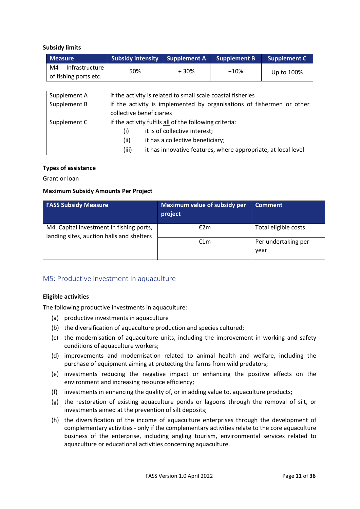# **Subsidy limits**

| <b>Measure</b>        | Subsidy intensity Supplement A Supplement B |        |        | <b>Supplement C</b> |
|-----------------------|---------------------------------------------|--------|--------|---------------------|
| M4<br>Infrastructure  | 50%                                         | $+30%$ | $+10%$ |                     |
| of fishing ports etc. |                                             |        |        | Up to 100%          |

| Supplement A | if the activity is related to small scale coastal fisheries            |  |
|--------------|------------------------------------------------------------------------|--|
| Supplement B | if the activity is implemented by organisations of fishermen or other  |  |
|              | collective beneficiaries                                               |  |
| Supplement C | if the activity fulfils all of the following criteria:                 |  |
|              | it is of collective interest;<br>(i)                                   |  |
|              | it has a collective beneficiary;<br>(ii)                               |  |
|              | it has innovative features, where appropriate, at local level<br>(iii) |  |

# **Types of assistance**

Grant or loan

# **Maximum Subsidy Amounts Per Project**

| <b>FASS Subsidy Measure</b>                                                           | <b>Maximum value of subsidy per</b><br>project | <b>Comment</b>              |
|---------------------------------------------------------------------------------------|------------------------------------------------|-----------------------------|
| M4. Capital investment in fishing ports,<br>landing sites, auction halls and shelters | €2m                                            | Total eligible costs        |
|                                                                                       | €1m                                            | Per undertaking per<br>year |

# <span id="page-10-0"></span>M5: Productive investment in aquaculture

# **Eligible activities**

The following productive investments in aquaculture:

- (a) productive investments in aquaculture
- (b) the diversification of aquaculture production and species cultured;
- (c) the modernisation of aquaculture units, including the improvement in working and safety conditions of aquaculture workers;
- (d) improvements and modernisation related to animal health and welfare, including the purchase of equipment aiming at protecting the farms from wild predators;
- (e) investments reducing the negative impact or enhancing the positive effects on the environment and increasing resource efficiency;
- (f) investments in enhancing the quality of, or in adding value to, aquaculture products;
- (g) the restoration of existing aquaculture ponds or lagoons through the removal of silt, or investments aimed at the prevention of silt deposits;
- (h) the diversification of the income of aquaculture enterprises through the development of complementary activities - only if the complementary activities relate to the core aquaculture business of the enterprise, including angling tourism, environmental services related to aquaculture or educational activities concerning aquaculture.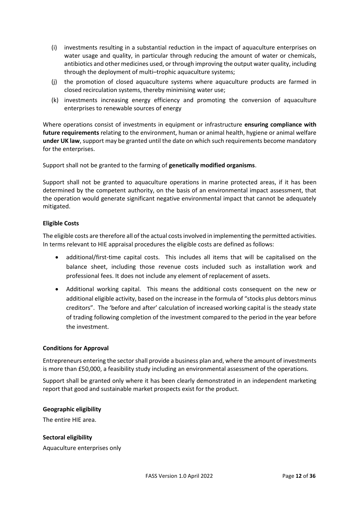- (i) investments resulting in a substantial reduction in the impact of aquaculture enterprises on water usage and quality, in particular through reducing the amount of water or chemicals, antibiotics and other medicines used, or through improving the output water quality, including through the deployment of multi–trophic aquaculture systems;
- (j) the promotion of closed aquaculture systems where aquaculture products are farmed in closed recirculation systems, thereby minimising water use;
- (k) investments increasing energy efficiency and promoting the conversion of aquaculture enterprises to renewable sources of energy

Where operations consist of investments in equipment or infrastructure **ensuring compliance with future requirements** relating to the environment, human or animal health, hygiene or animal welfare **under UK law**, support may be granted until the date on which such requirements become mandatory for the enterprises.

Support shall not be granted to the farming of **genetically modified organisms**.

Support shall not be granted to aquaculture operations in marine protected areas, if it has been determined by the competent authority, on the basis of an environmental impact assessment, that the operation would generate significant negative environmental impact that cannot be adequately mitigated.

# **Eligible Costs**

The eligible costs are therefore all of the actual costs involved in implementing the permitted activities. In terms relevant to HIE appraisal procedures the eligible costs are defined as follows:

- additional/first-time capital costs. This includes all items that will be capitalised on the balance sheet, including those revenue costs included such as installation work and professional fees. It does not include any element of replacement of assets.
- Additional working capital. This means the additional costs consequent on the new or additional eligible activity, based on the increase in the formula of "stocks plus debtors minus creditors". The 'before and after' calculation of increased working capital is the steady state of trading following completion of the investment compared to the period in the year before the investment.

# **Conditions for Approval**

Entrepreneurs entering the sector shall provide a business plan and, where the amount of investments is more than £50,000, a feasibility study including an environmental assessment of the operations.

Support shall be granted only where it has been clearly demonstrated in an independent marketing report that good and sustainable market prospects exist for the product.

# **Geographic eligibility**

The entire HIE area.

# **Sectoral eligibility**

Aquaculture enterprises only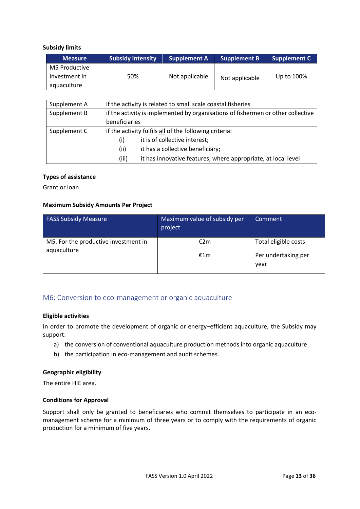# **Subsidy limits**

| <b>Measure</b> | <b>Subsidy intensity</b> | <b>Supplement A</b> | <b>Supplement B</b> | Supplement C |
|----------------|--------------------------|---------------------|---------------------|--------------|
| M5 Productive  |                          |                     |                     |              |
| investment in  | 50%                      | Not applicable      | Not applicable      | Up to 100%   |
| aquaculture    |                          |                     |                     |              |

| Supplement A |               | if the activity is related to small scale coastal fisheries                      |
|--------------|---------------|----------------------------------------------------------------------------------|
| Supplement B | beneficiaries | if the activity is implemented by organisations of fishermen or other collective |
|              |               |                                                                                  |
| Supplement C |               | if the activity fulfils all of the following criteria:                           |
|              | $\mathbf{I}$  | it is of collective interest;                                                    |
|              | (ii)          | it has a collective beneficiary;                                                 |
|              | (iii)         | it has innovative features, where appropriate, at local level                    |

# **Types of assistance**

Grant or loan

# **Maximum Subsidy Amounts Per Project**

| <b>FASS Subsidy Measure</b>                         | Maximum value of subsidy per<br>project | Comment                     |
|-----------------------------------------------------|-----------------------------------------|-----------------------------|
| M5. For the productive investment in<br>aquaculture | €2m                                     | Total eligible costs        |
|                                                     | €1m                                     | Per undertaking per<br>year |

# <span id="page-12-0"></span>M6: Conversion to eco-management or organic aquaculture

# **Eligible activities**

In order to promote the development of organic or energy–efficient aquaculture, the Subsidy may support:

- a) the conversion of conventional aquaculture production methods into organic aquaculture
- b) the participation in eco-management and audit schemes.

# **Geographic eligibility**

The entire HIE area.

# **Conditions for Approval**

Support shall only be granted to beneficiaries who commit themselves to participate in an ecomanagement scheme for a minimum of three years or to comply with the requirements of organic production for a minimum of five years.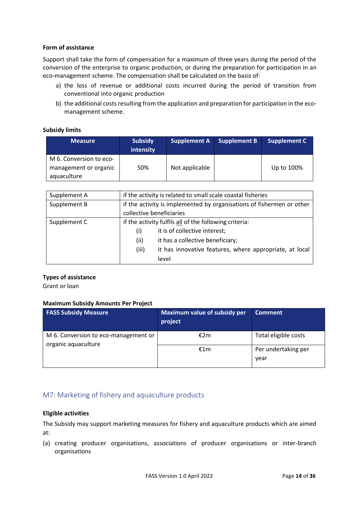# **Form of assistance**

Support shall take the form of compensation for a maximum of three years during the period of the conversion of the enterprise to organic production, or during the preparation for participation in an eco-management scheme. The compensation shall be calculated on the basis of:

- a) the loss of revenue or additional costs incurred during the period of transition from conventional into organic production
- b) the additional costs resulting from the application and preparation for participation in the ecomanagement scheme.

#### **Subsidy limits**

| <b>Measure</b>          | <b>Subsidy</b><br>intensity | <b>Supplement A</b> | <b>Supplement B</b> | <b>Supplement C</b> |
|-------------------------|-----------------------------|---------------------|---------------------|---------------------|
| M 6. Conversion to eco- |                             |                     |                     |                     |
| management or organic   | 50%                         | Not applicable      |                     | Up to 100%          |
| aquaculture             |                             |                     |                     |                     |

| Supplement A | if the activity is related to small scale coastal fisheries           |
|--------------|-----------------------------------------------------------------------|
| Supplement B | if the activity is implemented by organisations of fishermen or other |
|              | collective beneficiaries                                              |
| Supplement C | if the activity fulfils all of the following criteria:                |
|              | it is of collective interest;<br>(i)                                  |
|              | (ii)<br>it has a collective beneficiary;                              |
|              | it has innovative features, where appropriate, at local<br>(iii)      |
|              | level                                                                 |

# **Types of assistance**

Grant or loan

# **Maximum Subsidy Amounts Per Project**

| <b>FASS Subsidy Measure</b>                                 | <b>Maximum value of subsidy per</b><br>project | <b>Comment</b>              |
|-------------------------------------------------------------|------------------------------------------------|-----------------------------|
| M 6. Conversion to eco-management or<br>organic aquaculture | €2m                                            | Total eligible costs        |
|                                                             | €1m                                            | Per undertaking per<br>year |

# <span id="page-13-0"></span>M7: Marketing of fishery and aquaculture products

# **Eligible activities**

The Subsidy may support marketing measures for fishery and aquaculture products which are aimed at:

(a) creating producer organisations, associations of producer organisations or inter-branch organisations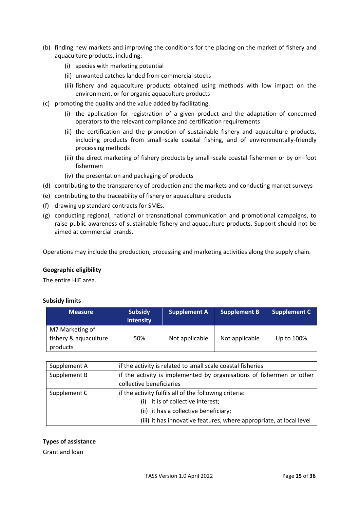- (b) finding new markets and improving the conditions for the placing on the market of fishery and aquaculture products, including:
	- (i) species with marketing potential
	- (ii) unwanted catches landed from commercial stocks
	- (iii) fishery and aquaculture products obtained using methods with low impact on the environment, or for organic aquaculture products
- (c) promoting the quality and the value added by facilitating:
	- (i) the application for registration of a given product and the adaptation of concerned operators to the relevant compliance and certification requirements
	- (ii) the certification and the promotion of sustainable fishery and aquaculture products, including products from small–scale coastal fishing, and of environmentally-friendly processing methods
	- (iii) the direct marketing of fishery products by small–scale coastal fishermen or by on–foot fishermen
	- (iv) the presentation and packaging of products
- (d) contributing to the transparency of production and the markets and conducting market surveys
- (e) contributing to the traceability of fishery or aquaculture products
- (f) drawing up standard contracts for SMEs.
- (g) conducting regional, national or transnational communication and promotional campaigns, to raise public awareness of sustainable fishery and aquaculture products. Support should not be aimed at commercial brands.

Operations may include the production, processing and marketing activities along the supply chain.

# **Geographic eligibility**

The entire HIE area.

# **Subsidy limits**

| <b>Measure</b>                                       | <b>Subsidy</b><br>intensity | Supplement A   | Supplement B   | <b>Supplement C</b> |
|------------------------------------------------------|-----------------------------|----------------|----------------|---------------------|
| M7 Marketing of<br>fishery & aquaculture<br>products | 50%                         | Not applicable | Not applicable | Up to 100%          |

| Supplement A | if the activity is related to small scale coastal fisheries           |
|--------------|-----------------------------------------------------------------------|
| Supplement B | if the activity is implemented by organisations of fishermen or other |
|              | collective beneficiaries                                              |
| Supplement C | if the activity fulfils all of the following criteria:                |
|              | it is of collective interest;                                         |
|              | (ii) it has a collective beneficiary;                                 |
|              | (iii) it has innovative features, where appropriate, at local level   |

# **Types of assistance**

Grant and loan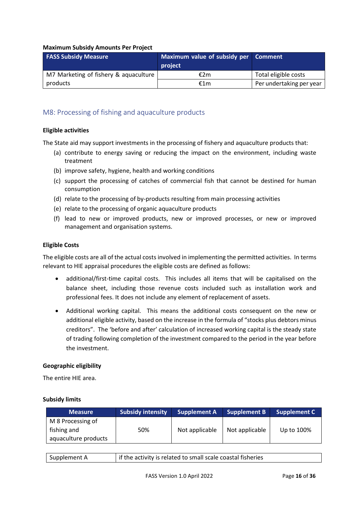# **Maximum Subsidy Amounts Per Project**

| <b>FASS Subsidy Measure</b>           | Maximum value of subsidy per Comment<br>project |                          |
|---------------------------------------|-------------------------------------------------|--------------------------|
| M7 Marketing of fishery & aquaculture | €2m                                             | Total eligible costs     |
| products                              | €1m                                             | Per undertaking per year |

# <span id="page-15-0"></span>M8: Processing of fishing and aquaculture products

# **Eligible activities**

The State aid may support investments in the processing of fishery and aquaculture products that:

- (a) contribute to energy saving or reducing the impact on the environment, including waste treatment
- (b) improve safety, hygiene, health and working conditions
- (c) support the processing of catches of commercial fish that cannot be destined for human consumption
- (d) relate to the processing of by-products resulting from main processing activities
- (e) relate to the processing of organic aquaculture products
- (f) lead to new or improved products, new or improved processes, or new or improved management and organisation systems.

#### **Eligible Costs**

The eligible costs are all of the actual costs involved in implementing the permitted activities. In terms relevant to HIE appraisal procedures the eligible costs are defined as follows:

- additional/first-time capital costs. This includes all items that will be capitalised on the balance sheet, including those revenue costs included such as installation work and professional fees. It does not include any element of replacement of assets.
- Additional working capital. This means the additional costs consequent on the new or additional eligible activity, based on the increase in the formula of "stocks plus debtors minus creditors". The 'before and after' calculation of increased working capital is the steady state of trading following completion of the investment compared to the period in the year before the investment.

# **Geographic eligibility**

The entire HIE area.

#### **Subsidy limits**

| <b>Measure</b>                                           | <b>Subsidy intensity</b> | <b>Supplement A</b> | <b>Supplement B</b> | <b>Supplement C</b> |
|----------------------------------------------------------|--------------------------|---------------------|---------------------|---------------------|
| M 8 Processing of<br>fishing and<br>aquaculture products | 50%                      | Not applicable      | Not applicable      | Up to 100%          |

| if the activity is related to small scale coastal fisheries<br>Supplement A |
|-----------------------------------------------------------------------------|
|-----------------------------------------------------------------------------|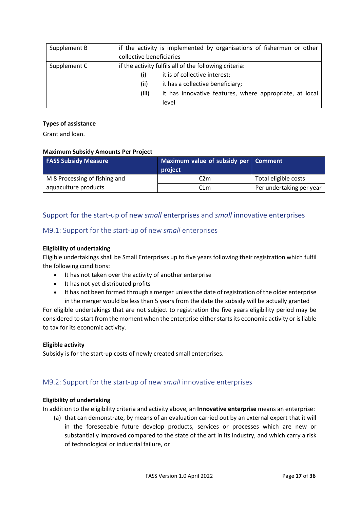| Supplement B | if the activity is implemented by organisations of fishermen or other |  |  |
|--------------|-----------------------------------------------------------------------|--|--|
|              | collective beneficiaries                                              |  |  |
| Supplement C | if the activity fulfils all of the following criteria:                |  |  |
|              | it is of collective interest;<br>$\mathbf{I}$                         |  |  |
|              | (ii)<br>it has a collective beneficiary;                              |  |  |
|              | it has innovative features, where appropriate, at local<br>(iii)      |  |  |
|              | level                                                                 |  |  |

# **Types of assistance**

Grant and loan.

# **Maximum Subsidy Amounts Per Project**

| <b>FASS Subsidy Measure</b>   | Maximum value of subsidy per Comment<br>project |                          |
|-------------------------------|-------------------------------------------------|--------------------------|
| M 8 Processing of fishing and | €2m                                             | Total eligible costs     |
| aquaculture products          | €1m                                             | Per undertaking per year |

# Support for the start-up of new *small* enterprises and *small* innovative enterprises

# <span id="page-16-0"></span>M9.1: Support for the start-up of new *small* enterprises

# **Eligibility of undertaking**

Eligible undertakings shall be Small Enterprises up to five years following their registration which fulfil the following conditions:

- It has not taken over the activity of another enterprise
- It has not yet distributed profits
- It has not been formed through a merger unless the date of registration of the older enterprise in the merger would be less than 5 years from the date the subsidy will be actually granted

For eligible undertakings that are not subject to registration the five years eligibility period may be considered to start from the moment when the enterprise either starts its economic activity or is liable to tax for its economic activity.

# **Eligible activity**

Subsidy is for the start-up costs of newly created small enterprises.

# <span id="page-16-1"></span>M9.2: Support for the start-up of new *small* innovative enterprises

# **Eligibility of undertaking**

In addition to the eligibility criteria and activity above, an **Innovative enterprise** means an enterprise:

(a) that can demonstrate, by means of an evaluation carried out by an external expert that it will in the foreseeable future develop products, services or processes which are new or substantially improved compared to the state of the art in its industry, and which carry a risk of technological or industrial failure, or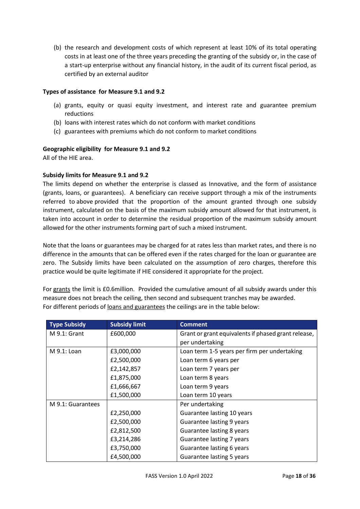(b) the research and development costs of which represent at least 10% of its total operating costs in at least one of the three years preceding the granting of the subsidy or, in the case of a start-up enterprise without any financial history, in the audit of its current fiscal period, as certified by an external auditor

# **Types of assistance for Measure 9.1 and 9.2**

- (a) grants, equity or quasi equity investment, and interest rate and guarantee premium reductions
- (b) loans with interest rates which do not conform with market conditions
- (c) guarantees with premiums which do not conform to market conditions

# **Geographic eligibility for Measure 9.1 and 9.2**

All of the HIE area.

# **Subsidy limits for Measure 9.1 and 9.2**

The limits depend on whether the enterprise is classed as Innovative, and the form of assistance (grants, loans, or guarantees). A beneficiary can receive support through a mix of the instruments referred to above provided that the proportion of the amount granted through one subsidy instrument, calculated on the basis of the maximum subsidy amount allowed for that instrument, is taken into account in order to determine the residual proportion of the maximum subsidy amount allowed for the other instruments forming part of such a mixed instrument.

Note that the loans or guarantees may be charged for at rates less than market rates, and there is no difference in the amounts that can be offered even if the rates charged for the loan or guarantee are zero. The Subsidy limits have been calculated on the assumption of zero charges, therefore this practice would be quite legitimate if HIE considered it appropriate for the project.

For grants the limit is £0.6million. Provided the cumulative amount of all subsidy awards under this measure does not breach the ceiling, then second and subsequent tranches may be awarded. For different periods of loans and guarantees the ceilings are in the table below:

| <b>Type Subsidy</b> | <b>Subsidy limit</b> | <b>Comment</b>                                      |
|---------------------|----------------------|-----------------------------------------------------|
| $M$ 9.1: Grant      | £600,000             | Grant or grant equivalents if phased grant release, |
|                     |                      | per undertaking                                     |
| $M$ 9.1: Loan       | £3,000,000           | Loan term 1-5 years per firm per undertaking        |
|                     | £2,500,000           | Loan term 6 years per                               |
|                     | £2,142,857           | Loan term 7 years per                               |
|                     | £1,875,000           | Loan term 8 years                                   |
|                     | £1,666,667           | Loan term 9 years                                   |
|                     | £1,500,000           | Loan term 10 years                                  |
| M 9.1: Guarantees   |                      | Per undertaking                                     |
|                     | £2,250,000           | Guarantee lasting 10 years                          |
|                     | £2,500,000           | Guarantee lasting 9 years                           |
|                     | £2,812,500           | Guarantee lasting 8 years                           |
|                     | £3,214,286           | Guarantee lasting 7 years                           |
|                     | £3,750,000           | Guarantee lasting 6 years                           |
|                     | £4,500,000           | Guarantee lasting 5 years                           |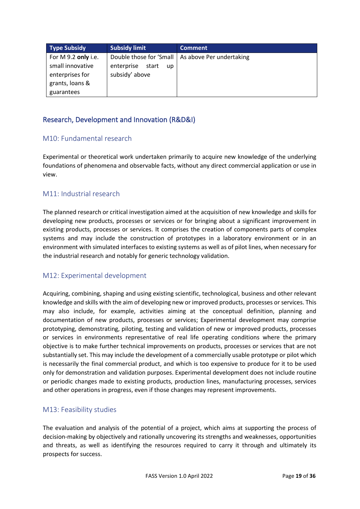| <b>Type Subsidy</b> | <b>Subsidy limit</b>      | <b>Comment</b>           |
|---------------------|---------------------------|--------------------------|
| For M 9.2 only i.e. | Double those for 'Small   | As above Per undertaking |
| small innovative    | enterprise<br>start<br>up |                          |
| enterprises for     | subsidy' above            |                          |
| grants, loans &     |                           |                          |
| guarantees          |                           |                          |

# <span id="page-18-0"></span>Research, Development and Innovation (R&D&I)

# <span id="page-18-1"></span>M10: Fundamental research

Experimental or theoretical work undertaken primarily to acquire new knowledge of the underlying foundations of phenomena and observable facts, without any direct commercial application or use in view.

# <span id="page-18-2"></span>M11: Industrial research

The planned research or critical investigation aimed at the acquisition of new knowledge and skills for developing new products, processes or services or for bringing about a significant improvement in existing products, processes or services. It comprises the creation of components parts of complex systems and may include the construction of prototypes in a laboratory environment or in an environment with simulated interfaces to existing systems as well as of pilot lines, when necessary for the industrial research and notably for generic technology validation.

# <span id="page-18-3"></span>M12: Experimental development

Acquiring, combining, shaping and using existing scientific, technological, business and other relevant knowledge and skills with the aim of developing new or improved products, processes or services. This may also include, for example, activities aiming at the conceptual definition, planning and documentation of new products, processes or services; Experimental development may comprise prototyping, demonstrating, piloting, testing and validation of new or improved products, processes or services in environments representative of real life operating conditions where the primary objective is to make further technical improvements on products, processes or services that are not substantially set. This may include the development of a commercially usable prototype or pilot which is necessarily the final commercial product, and which is too expensive to produce for it to be used only for demonstration and validation purposes. Experimental development does not include routine or periodic changes made to existing products, production lines, manufacturing processes, services and other operations in progress, even if those changes may represent improvements.

# <span id="page-18-4"></span>M13: Feasibility studies

The evaluation and analysis of the potential of a project, which aims at supporting the process of decision-making by objectively and rationally uncovering its strengths and weaknesses, opportunities and threats, as well as identifying the resources required to carry it through and ultimately its prospects for success.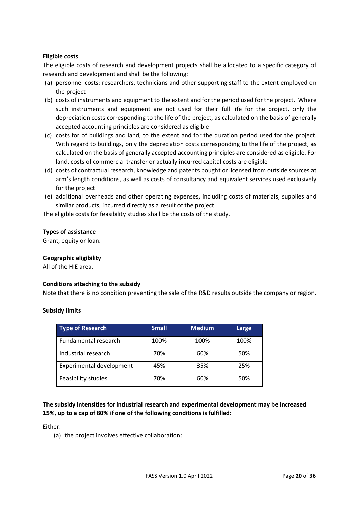# **Eligible costs**

The eligible costs of research and development projects shall be allocated to a specific category of research and development and shall be the following:

- (a) personnel costs: researchers, technicians and other supporting staff to the extent employed on the project
- (b) costs of instruments and equipment to the extent and for the period used for the project. Where such instruments and equipment are not used for their full life for the project, only the depreciation costs corresponding to the life of the project, as calculated on the basis of generally accepted accounting principles are considered as eligible
- (c) costs for of buildings and land, to the extent and for the duration period used for the project. With regard to buildings, only the depreciation costs corresponding to the life of the project, as calculated on the basis of generally accepted accounting principles are considered as eligible. For land, costs of commercial transfer or actually incurred capital costs are eligible
- (d) costs of contractual research, knowledge and patents bought or licensed from outside sources at arm's length conditions, as well as costs of consultancy and equivalent services used exclusively for the project
- (e) additional overheads and other operating expenses, including costs of materials, supplies and similar products, incurred directly as a result of the project

The eligible costs for feasibility studies shall be the costs of the study.

# **Types of assistance**

Grant, equity or loan.

# **Geographic eligibility**

All of the HIE area.

# **Conditions attaching to the subsidy**

Note that there is no condition preventing the sale of the R&D results outside the company or region.

# **Subsidy limits**

| Type of Research         | <b>Small</b> | <b>Medium</b> | Large |
|--------------------------|--------------|---------------|-------|
| Fundamental research     | 100%         | 100%          | 100%  |
| Industrial research      | 70%          | 60%           | 50%   |
| Experimental development | 45%          | 35%           | 25%   |
| Feasibility studies      | 70%          | 60%           | 50%   |

**The subsidy intensities for industrial research and experimental development may be increased 15%, up to a cap of 80% if one of the following conditions is fulfilled:** 

Either:

(a) the project involves effective collaboration: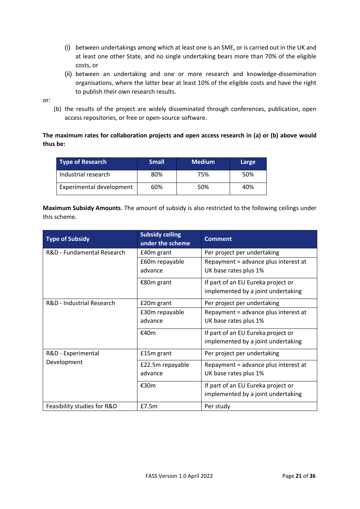- (i) between undertakings among which at least one is an SME, or is carried out in the UK and at least one other State, and no single undertaking bears more than 70% of the eligible costs, or
- (ii) between an undertaking and one or more research and knowledge-dissemination organisations, where the latter bear at least 10% of the eligible costs and have the right to publish their own research results.

or:

(b) the results of the project are widely disseminated through conferences, publication, open access repositories, or free or open-source software.

**The maximum rates for collaboration projects and open access research in (a) or (b) above would thus be:**

| Type of Research         | <b>Small</b> | <b>Medium</b> | Large |
|--------------------------|--------------|---------------|-------|
| Industrial research      | 80%          | 75%           | 50%   |
| Experimental development | 60%          | 50%           | 40%   |

**Maximum Subsidy Amounts**. The amount of subsidy is also restricted to the following ceilings under this scheme.

| <b>Type of Subsidy</b>      | <b>Subsidy ceiling</b><br>under the scheme | <b>Comment</b>                       |
|-----------------------------|--------------------------------------------|--------------------------------------|
| R&D - Fundamental Research  | £40m grant                                 | Per project per undertaking          |
|                             | £60m repayable                             | Repayment = advance plus interest at |
|                             | advance                                    | UK base rates plus 1%                |
|                             | €80m grant                                 | If part of an EU Eureka project or   |
|                             |                                            | implemented by a joint undertaking   |
| R&D - Industrial Research   | £20m grant                                 | Per project per undertaking          |
|                             | £30m repayable                             | Repayment = advance plus interest at |
|                             | advance                                    | UK base rates plus 1%                |
|                             | €40m                                       | If part of an EU Eureka project or   |
|                             |                                            | implemented by a joint undertaking   |
| R&D - Experimental          | £15m grant                                 | Per project per undertaking          |
| Development                 | £22.5m repayable                           | Repayment = advance plus interest at |
|                             | advance                                    | UK base rates plus 1%                |
|                             | €30 $m$                                    | If part of an EU Eureka project or   |
|                             |                                            | implemented by a joint undertaking   |
| Feasibility studies for R&D | £7.5m                                      | Per study                            |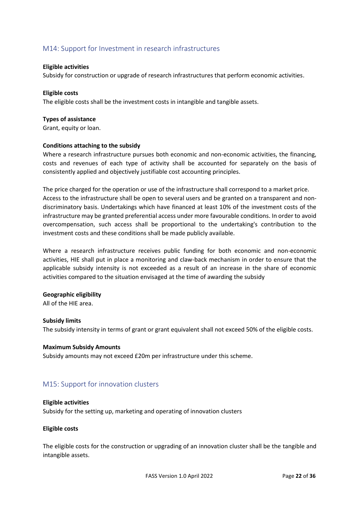# <span id="page-21-0"></span>M14: Support for Investment in research infrastructures

#### **Eligible activities**

Subsidy for construction or upgrade of research infrastructures that perform economic activities.

#### **Eligible costs**

The eligible costs shall be the investment costs in intangible and tangible assets.

#### **Types of assistance**

Grant, equity or loan.

#### **Conditions attaching to the subsidy**

Where a research infrastructure pursues both economic and non-economic activities, the financing, costs and revenues of each type of activity shall be accounted for separately on the basis of consistently applied and objectively justifiable cost accounting principles.

The price charged for the operation or use of the infrastructure shall correspond to a market price. Access to the infrastructure shall be open to several users and be granted on a transparent and nondiscriminatory basis. Undertakings which have financed at least 10% of the investment costs of the infrastructure may be granted preferential access under more favourable conditions. In order to avoid overcompensation, such access shall be proportional to the undertaking's contribution to the investment costs and these conditions shall be made publicly available.

Where a research infrastructure receives public funding for both economic and non-economic activities, HIE shall put in place a monitoring and claw-back mechanism in order to ensure that the applicable subsidy intensity is not exceeded as a result of an increase in the share of economic activities compared to the situation envisaged at the time of awarding the subsidy

#### **Geographic eligibility**

All of the HIE area.

#### **Subsidy limits**

The subsidy intensity in terms of grant or grant equivalent shall not exceed 50% of the eligible costs.

#### **Maximum Subsidy Amounts**

Subsidy amounts may not exceed £20m per infrastructure under this scheme.

# <span id="page-21-1"></span>M15: Support for innovation clusters

#### **Eligible activities**

Subsidy for the setting up, marketing and operating of innovation clusters

#### **Eligible costs**

The eligible costs for the construction or upgrading of an innovation cluster shall be the tangible and intangible assets.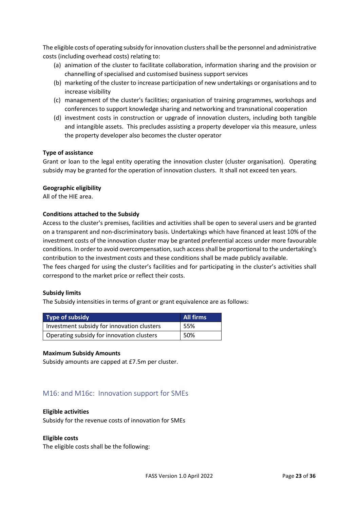The eligible costs of operating subsidy for innovation clusters shall be the personnel and administrative costs (including overhead costs) relating to:

- (a) animation of the cluster to facilitate collaboration, information sharing and the provision or channelling of specialised and customised business support services
- (b) marketing of the cluster to increase participation of new undertakings or organisations and to increase visibility
- (c) management of the cluster's facilities; organisation of training programmes, workshops and conferences to support knowledge sharing and networking and transnational cooperation
- (d) investment costs in construction or upgrade of innovation clusters, including both tangible and intangible assets. This precludes assisting a property developer via this measure, unless the property developer also becomes the cluster operator

# **Type of assistance**

Grant or loan to the legal entity operating the innovation cluster (cluster organisation). Operating subsidy may be granted for the operation of innovation clusters. It shall not exceed ten years.

#### **Geographic eligibility**

All of the HIE area.

#### **Conditions attached to the Subsidy**

Access to the cluster's premises, facilities and activities shall be open to several users and be granted on a transparent and non-discriminatory basis. Undertakings which have financed at least 10% of the investment costs of the innovation cluster may be granted preferential access under more favourable conditions. In order to avoid overcompensation, such access shall be proportional to the undertaking's contribution to the investment costs and these conditions shall be made publicly available.

The fees charged for using the cluster's facilities and for participating in the cluster's activities shall correspond to the market price or reflect their costs.

#### **Subsidy limits**

The Subsidy intensities in terms of grant or grant equivalence are as follows:

| Type of subsidy                            | <b>All firms</b> |
|--------------------------------------------|------------------|
| Investment subsidy for innovation clusters | 55%              |
| Operating subsidy for innovation clusters  | 50%              |

#### **Maximum Subsidy Amounts**

Subsidy amounts are capped at £7.5m per cluster.

# <span id="page-22-0"></span>M16: and M16c: Innovation support for SMEs

#### **Eligible activities**

Subsidy for the revenue costs of innovation for SMEs

#### **Eligible costs**

The eligible costs shall be the following: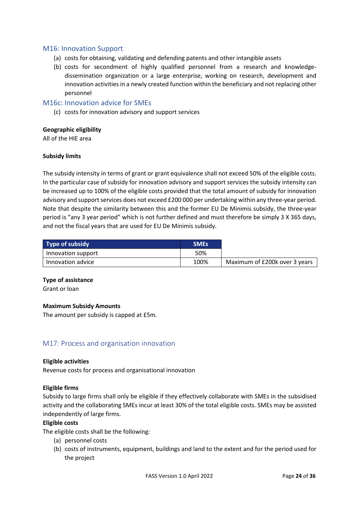# M16: Innovation Support

- (a) costs for obtaining, validating and defending patents and other intangible assets
- (b) costs for secondment of highly qualified personnel from a research and knowledgedissemination organization or a large enterprise, working on research, development and innovation activities in a newly created function within the beneficiary and not replacing other personnel

# M16c: Innovation advice for SMEs

(c) costs for innovation advisory and support services

#### **Geographic eligibility**

All of the HIE area

#### **Subsidy limits**

The subsidy intensity in terms of grant or grant equivalence shall not exceed 50% of the eligible costs. In the particular case of subsidy for innovation advisory and support services the subsidy intensity can be increased up to 100% of the eligible costs provided that the total amount of subsidy for innovation advisory and support services does not exceed £200 000 per undertaking within any three-year period. Note that despite the similarity between this and the former EU De Minimis subsidy, the three-year period is "any 3 year period" which is not further defined and must therefore be simply 3 X 365 days, and not the fiscal years that are used for EU De Minimis subsidy.

| Type of subsidy    | <b>SMEs</b> |                               |
|--------------------|-------------|-------------------------------|
| Innovation support | 50%         |                               |
| Innovation advice  | 100%        | Maximum of £200k over 3 years |

#### **Type of assistance**

Grant or loan

# **Maximum Subsidy Amounts**

The amount per subsidy is capped at £5m.

# <span id="page-23-0"></span>M17: Process and organisation innovation

#### **Eligible activities**

Revenue costs for process and organisational innovation

# **Eligible firms**

Subsidy to large firms shall only be eligible if they effectively collaborate with SMEs in the subsidised activity and the collaborating SMEs incur at least 30% of the total eligible costs. SMEs may be assisted independently of large firms.

# **Eligible costs**

The eligible costs shall be the following:

- (a) personnel costs
- (b) costs of instruments, equipment, buildings and land to the extent and for the period used for the project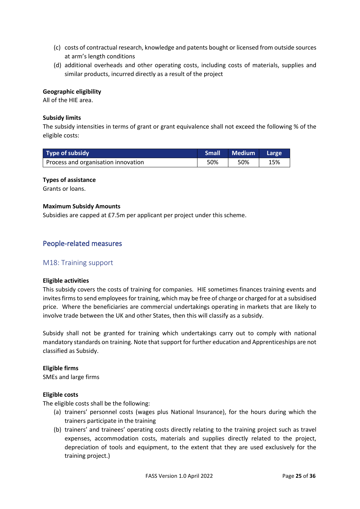- (c) costs of contractual research, knowledge and patents bought or licensed from outside sources at arm's length conditions
- (d) additional overheads and other operating costs, including costs of materials, supplies and similar products, incurred directly as a result of the project

#### **Geographic eligibility**

All of the HIE area.

#### **Subsidy limits**

The subsidy intensities in terms of grant or grant equivalence shall not exceed the following % of the eligible costs:

| Type of subsidy                     |     | Small Medium Large |     |
|-------------------------------------|-----|--------------------|-----|
| Process and organisation innovation | 50% | 50%                | 15% |

#### **Types of assistance**

Grants or loans.

#### **Maximum Subsidy Amounts**

Subsidies are capped at £7.5m per applicant per project under this scheme.

# <span id="page-24-0"></span>People-related measures

# <span id="page-24-1"></span>M18: Training support

#### **Eligible activities**

This subsidy covers the costs of training for companies. HIE sometimes finances training events and invites firms to send employees for training, which may be free of charge or charged for at a subsidised price. Where the beneficiaries are commercial undertakings operating in markets that are likely to involve trade between the UK and other States, then this will classify as a subsidy.

Subsidy shall not be granted for training which undertakings carry out to comply with national mandatory standards on training. Note that support for further education and Apprenticeships are not classified as Subsidy.

# **Eligible firms** SMEs and large firms

#### **Eligible costs**

The eligible costs shall be the following:

- (a) trainers' personnel costs (wages plus National Insurance), for the hours during which the trainers participate in the training
- (b) trainers' and trainees' operating costs directly relating to the training project such as travel expenses, accommodation costs, materials and supplies directly related to the project, depreciation of tools and equipment, to the extent that they are used exclusively for the training project.)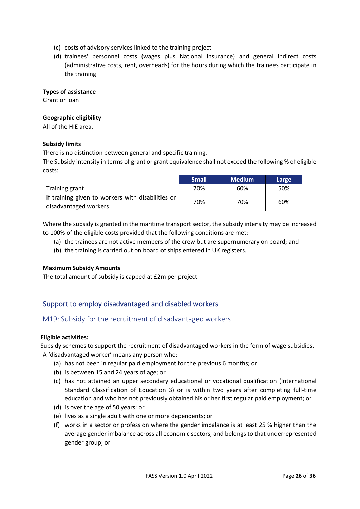- (c) costs of advisory services linked to the training project
- (d) trainees' personnel costs (wages plus National Insurance) and general indirect costs (administrative costs, rent, overheads) for the hours during which the trainees participate in the training

#### **Types of assistance**

Grant or loan

# **Geographic eligibility**

All of the HIE area.

# **Subsidy limits**

There is no distinction between general and specific training.

The Subsidy intensity in terms of grant or grant equivalence shall not exceed the following % of eligible costs:

|                                                                            | <b>Small</b> | <b>Medium</b> | Large |
|----------------------------------------------------------------------------|--------------|---------------|-------|
| Training grant                                                             | 70%          | 60%           | 50%   |
| If training given to workers with disabilities or<br>disadvantaged workers | 70%          | 70%           | 60%   |

Where the subsidy is granted in the maritime transport sector, the subsidy intensity may be increased to 100% of the eligible costs provided that the following conditions are met:

- (a) the trainees are not active members of the crew but are supernumerary on board; and
- (b) the training is carried out on board of ships entered in UK registers.

# **Maximum Subsidy Amounts**

The total amount of subsidy is capped at £2m per project.

# Support to employ disadvantaged and disabled workers

# <span id="page-25-0"></span>M19: Subsidy for the recruitment of disadvantaged workers

# **Eligible activities:**

Subsidy schemes to support the recruitment of disadvantaged workers in the form of wage subsidies. A 'disadvantaged worker' means any person who:

- (a) has not been in regular paid employment for the previous 6 months; or
- (b) is between 15 and 24 years of age; or
- (c) has not attained an upper secondary educational or vocational qualification (International Standard Classification of Education 3) or is within two years after completing full-time education and who has not previously obtained his or her first regular paid employment; or
- (d) is over the age of 50 years; or
- (e) lives as a single adult with one or more dependents; or
- (f) works in a sector or profession where the gender imbalance is at least 25 % higher than the average gender imbalance across all economic sectors, and belongs to that underrepresented gender group; or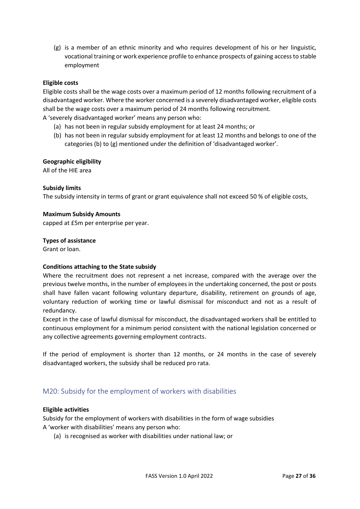(g) is a member of an ethnic minority and who requires development of his or her linguistic, vocational training or work experience profile to enhance prospects of gaining access to stable employment

#### **Eligible costs**

Eligible costs shall be the wage costs over a maximum period of 12 months following recruitment of a disadvantaged worker. Where the worker concerned is a severely disadvantaged worker, eligible costs shall be the wage costs over a maximum period of 24 months following recruitment.

A 'severely disadvantaged worker' means any person who:

- (a) has not been in regular subsidy employment for at least 24 months; or
- (b) has not been in regular subsidy employment for at least 12 months and belongs to one of the categories (b) to (g) mentioned under the definition of 'disadvantaged worker'.

#### **Geographic eligibility**

All of the HIE area

#### **Subsidy limits**

The subsidy intensity in terms of grant or grant equivalence shall not exceed 50 % of eligible costs,

#### **Maximum Subsidy Amounts**

capped at £5m per enterprise per year.

#### **Types of assistance**

Grant or loan.

# **Conditions attaching to the State subsidy**

Where the recruitment does not represent a net increase, compared with the average over the previous twelve months, in the number of employees in the undertaking concerned, the post or posts shall have fallen vacant following voluntary departure, disability, retirement on grounds of age, voluntary reduction of working time or lawful dismissal for misconduct and not as a result of redundancy.

Except in the case of lawful dismissal for misconduct, the disadvantaged workers shall be entitled to continuous employment for a minimum period consistent with the national legislation concerned or any collective agreements governing employment contracts.

If the period of employment is shorter than 12 months, or 24 months in the case of severely disadvantaged workers, the subsidy shall be reduced pro rata.

# <span id="page-26-0"></span>M20: Subsidy for the employment of workers with disabilities

#### **Eligible activities**

Subsidy for the employment of workers with disabilities in the form of wage subsidies A 'worker with disabilities' means any person who:

(a) is recognised as worker with disabilities under national law; or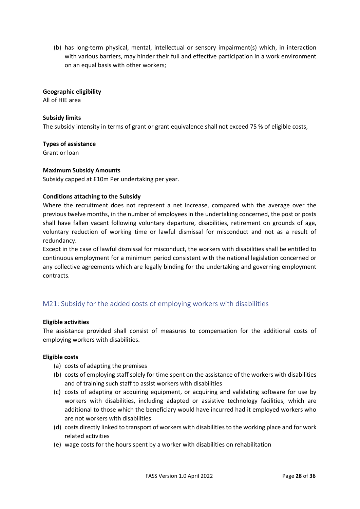(b) has long-term physical, mental, intellectual or sensory impairment(s) which, in interaction with various barriers, may hinder their full and effective participation in a work environment on an equal basis with other workers;

# **Geographic eligibility**

All of HIE area

# **Subsidy limits**

The subsidy intensity in terms of grant or grant equivalence shall not exceed 75 % of eligible costs,

# **Types of assistance**

Grant or loan

# **Maximum Subsidy Amounts**

Subsidy capped at £10m Per undertaking per year.

# **Conditions attaching to the Subsidy**

Where the recruitment does not represent a net increase, compared with the average over the previous twelve months, in the number of employees in the undertaking concerned, the post or posts shall have fallen vacant following voluntary departure, disabilities, retirement on grounds of age, voluntary reduction of working time or lawful dismissal for misconduct and not as a result of redundancy.

Except in the case of lawful dismissal for misconduct, the workers with disabilities shall be entitled to continuous employment for a minimum period consistent with the national legislation concerned or any collective agreements which are legally binding for the undertaking and governing employment contracts.

# <span id="page-27-0"></span>M21: Subsidy for the added costs of employing workers with disabilities

# **Eligible activities**

The assistance provided shall consist of measures to compensation for the additional costs of employing workers with disabilities.

# **Eligible costs**

- (a) costs of adapting the premises
- (b) costs of employing staff solely for time spent on the assistance of the workers with disabilities and of training such staff to assist workers with disabilities
- (c) costs of adapting or acquiring equipment, or acquiring and validating software for use by workers with disabilities, including adapted or assistive technology facilities, which are additional to those which the beneficiary would have incurred had it employed workers who are not workers with disabilities
- (d) costs directly linked to transport of workers with disabilities to the working place and for work related activities
- (e) wage costs for the hours spent by a worker with disabilities on rehabilitation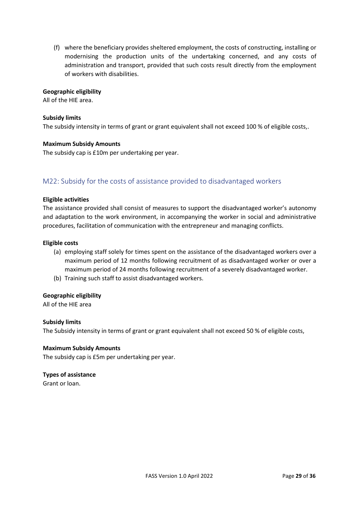(f) where the beneficiary provides sheltered employment, the costs of constructing, installing or modernising the production units of the undertaking concerned, and any costs of administration and transport, provided that such costs result directly from the employment of workers with disabilities.

# **Geographic eligibility**

All of the HIE area.

# **Subsidy limits**

The subsidy intensity in terms of grant or grant equivalent shall not exceed 100 % of eligible costs,.

# **Maximum Subsidy Amounts**

The subsidy cap is £10m per undertaking per year.

# <span id="page-28-0"></span>M22: Subsidy for the costs of assistance provided to disadvantaged workers

#### **Eligible activities**

The assistance provided shall consist of measures to support the disadvantaged worker's autonomy and adaptation to the work environment, in accompanying the worker in social and administrative procedures, facilitation of communication with the entrepreneur and managing conflicts.

#### **Eligible costs**

- (a) employing staff solely for times spent on the assistance of the disadvantaged workers over a maximum period of 12 months following recruitment of as disadvantaged worker or over a maximum period of 24 months following recruitment of a severely disadvantaged worker.
- (b) Training such staff to assist disadvantaged workers.

# **Geographic eligibility**

All of the HIE area

# **Subsidy limits**

The Subsidy intensity in terms of grant or grant equivalent shall not exceed 50 % of eligible costs,

#### **Maximum Subsidy Amounts**

The subsidy cap is £5m per undertaking per year.

# **Types of assistance**

Grant or loan.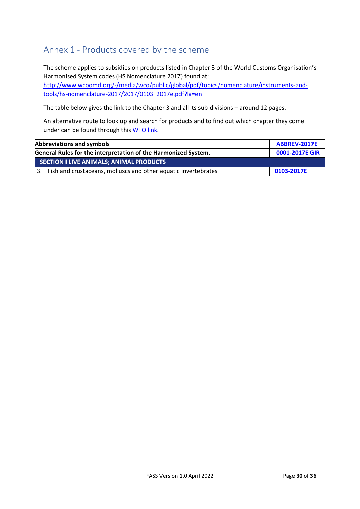# <span id="page-29-0"></span>Annex 1 - Products covered by the scheme

The scheme applies to subsidies on products listed in Chapter 3 of the World Customs Organisation's Harmonised System codes (HS Nomenclature 2017) found at:

[http://www.wcoomd.org/-/media/wco/public/global/pdf/topics/nomenclature/instruments-and](http://www.wcoomd.org/-/media/wco/public/global/pdf/topics/nomenclature/instruments-and-tools/hs-nomenclature-2017/2017/0103_2017e.pdf?la=en)[tools/hs-nomenclature-2017/2017/0103\\_2017e.pdf?la=en](http://www.wcoomd.org/-/media/wco/public/global/pdf/topics/nomenclature/instruments-and-tools/hs-nomenclature-2017/2017/0103_2017e.pdf?la=en)

The table below gives the link to the Chapter 3 and all its sub-divisions – around 12 pages.

An alternative route to look up and search for products and to find out which chapter they come under can be found through this [WTO link.](http://tariffdata.wto.org/ReportersAndProducts.aspx)

| <b>Abbreviations and symbols</b>                               | ABBREV-2017E   |
|----------------------------------------------------------------|----------------|
| General Rules for the interpretation of the Harmonized System. | 0001-2017E GIR |
| <b>SECTION I LIVE ANIMALS; ANIMAL PRODUCTS</b>                 |                |
| Fish and crustaceans, molluscs and other aquatic invertebrates | 0103-2017E     |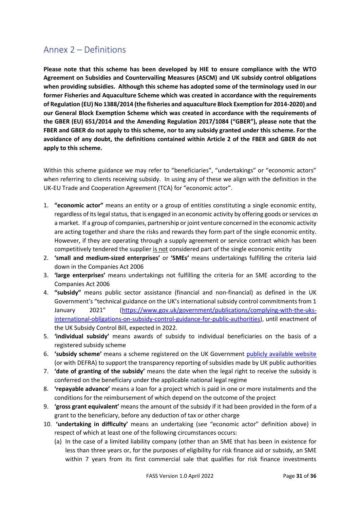# <span id="page-30-0"></span>Annex 2 – Definitions

**Please note that this scheme has been developed by HIE to ensure compliance with the WTO Agreement on Subsidies and Countervailing Measures (ASCM) and UK subsidy control obligations when providing subsidies. Although this scheme has adopted some of the terminology used in our former Fisheries and Aquaculture Scheme which was created in accordance with the requirements of Regulation (EU) No 1388/2014 (the fisheries and aquaculture Block Exemption for 2014-2020) and our General Block Exemption Scheme which was created in accordance with the requirements of the GBER (EU) 651/2014 and the Amending Regulation 2017/1084 ("GBER"), please note that the FBER and GBER do not apply to this scheme, nor to any subsidy granted under this scheme. For the avoidance of any doubt, the definitions contained within Article 2 of the FBER and GBER do not apply to this scheme.**

Within this scheme guidance we may refer to "beneficiaries", "undertakings" or "economic actors" when referring to clients receiving subsidy. In using any of these we align with the definition in the UK-EU Trade and Cooperation Agreement (TCA) for "economic actor".

- 1. **"economic actor"** means an entity or a group of entities constituting a single economic entity, regardless of its legal status, that is engaged in an economic activity by offering goods or services on a market. If a group of companies, partnership or joint venture concerned in the economic activity are acting together and share the risks and rewards they form part of the single economic entity. However, if they are operating through a supply agreement or service contract which has been competitively tendered the supplier is not considered part of the single economic entity
- 2. **'small and medium-sized enterprises'** or **'SMEs'** means undertakings fulfilling the criteria laid down in the Companies Act 2006
- 3. **'large enterprises'** means undertakings not fulfilling the criteria for an SME according to the Companies Act 2006
- 4. **"subsidy"** means public sector assistance (financial and non-financial) as defined in the UK Government's "technical guidance on the UK's international subsidy control commitments from 1 January 2021" [\(https://www.gov.uk/government/publications/complying-with-the-uks](https://www.gov.uk/government/publications/complying-with-the-uks-international-obligations-on-subsidy-control-guidance-for-public-authorities)[international-obligations-on-subsidy-control-guidance-for-public-authorities\)](https://www.gov.uk/government/publications/complying-with-the-uks-international-obligations-on-subsidy-control-guidance-for-public-authorities), until enactment of the UK Subsidy Control Bill, expected in 2022.
- 5. **'individual subsidy'** means awards of subsidy to individual beneficiaries on the basis of a registered subsidy scheme
- 6. **'subsidy scheme'** means a scheme registered on the UK Government [publicly available website](https://searchforuksubsidies.beis.gov.uk/searchresults) (or with DEFRA) to support the transparency reporting of subsidies made by UK public authorities
- 7. **'date of granting of the subsidy'** means the date when the legal right to receive the subsidy is conferred on the beneficiary under the applicable national legal regime
- 8. **'repayable advance'** means a loan for a project which is paid in one or more instalments and the conditions for the reimbursement of which depend on the outcome of the project
- 9. **'gross grant equivalent'** means the amount of the subsidy if it had been provided in the form of a grant to the beneficiary, before any deduction of tax or other charge
- 10. **'undertaking in difficulty'** means an undertaking (see "economic actor" definition above) in respect of which at least one of the following circumstances occurs:
	- (a) In the case of a limited liability company (other than an SME that has been in existence for less than three years or, for the purposes of eligibility for risk finance aid or subsidy, an SME within 7 years from its first commercial sale that qualifies for risk finance investments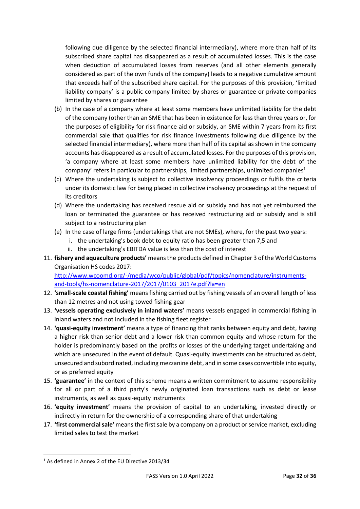following due diligence by the selected financial intermediary), where more than half of its subscribed share capital has disappeared as a result of accumulated losses. This is the case when deduction of accumulated losses from reserves (and all other elements generally considered as part of the own funds of the company) leads to a negative cumulative amount that exceeds half of the subscribed share capital. For the purposes of this provision, 'limited liability company' is a public company limited by shares or guarantee or private companies limited by shares or guarantee

- (b) In the case of a company where at least some members have unlimited liability for the debt of the company (other than an SME that has been in existence for less than three years or, for the purposes of eligibility for risk finance aid or subsidy, an SME within 7 years from its first commercial sale that qualifies for risk finance investments following due diligence by the selected financial intermediary), where more than half of its capital as shown in the company accounts has disappeared as a result of accumulated losses. For the purposes of this provision, 'a company where at least some members have unlimited liability for the debt of the company' refers in particular to partnerships, limited partnerships, unlimited companies<sup>1</sup>
- (c) Where the undertaking is subject to collective insolvency proceedings or fulfils the criteria under its domestic law for being placed in collective insolvency proceedings at the request of its creditors
- (d) Where the undertaking has received rescue aid or subsidy and has not yet reimbursed the loan or terminated the guarantee or has received restructuring aid or subsidy and is still subject to a restructuring plan
- (e) In the case of large firms (undertakings that are not SMEs), where, for the past two years:
	- i. the undertaking's book debt to equity ratio has been greater than 7,5 and
	- ii. the undertaking's EBITDA value is less than the cost of interest
- 11. **fishery and aquaculture products'** means the products defined in Chapter 3 of the World Customs Organisation HS codes 2017:

[http://www.wcoomd.org/-/media/wco/public/global/pdf/topics/nomenclature/instruments](http://www.wcoomd.org/-/media/wco/public/global/pdf/topics/nomenclature/instruments-and-tools/hs-nomenclature-2017/2017/0103_2017e.pdf?la=en)[and-tools/hs-nomenclature-2017/2017/0103\\_2017e.pdf?la=en](http://www.wcoomd.org/-/media/wco/public/global/pdf/topics/nomenclature/instruments-and-tools/hs-nomenclature-2017/2017/0103_2017e.pdf?la=en)

- 12. **'small-scale coastal fishing'** means fishing carried out by fishing vessels of an overall length of less than 12 metres and not using towed fishing gear
- 13. **'vessels operating exclusively in inland waters'** means vessels engaged in commercial fishing in inland waters and not included in the fishing fleet register
- 14. **'quasi-equity investment'** means a type of financing that ranks between equity and debt, having a higher risk than senior debt and a lower risk than common equity and whose return for the holder is predominantly based on the profits or losses of the underlying target undertaking and which are unsecured in the event of default. Quasi-equity investments can be structured as debt, unsecured and subordinated, including mezzanine debt, and in some cases convertible into equity, or as preferred equity
- 15. **'guarantee'** in the context of this scheme means a written commitment to assume responsibility for all or part of a third party's newly originated loan transactions such as debt or lease instruments, as well as quasi-equity instruments
- 16. **'equity investment'** means the provision of capital to an undertaking, invested directly or indirectly in return for the ownership of a corresponding share of that undertaking
- 17. **'first commercial sale'** means the first sale by a company on a product or service market, excluding limited sales to test the market

<sup>&</sup>lt;sup>1</sup> As defined in Annex 2 of the EU Directive 2013/34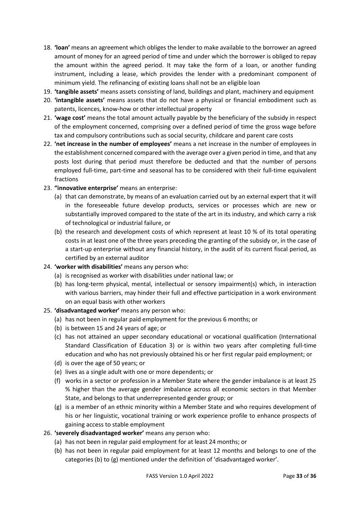- 18. **'loan'** means an agreement which obliges the lender to make available to the borrower an agreed amount of money for an agreed period of time and under which the borrower is obliged to repay the amount within the agreed period. It may take the form of a loan, or another funding instrument, including a lease, which provides the lender with a predominant component of minimum yield. The refinancing of existing loans shall not be an eligible loan
- 19. **'tangible assets'** means assets consisting of land, buildings and plant, machinery and equipment
- 20. **'intangible assets'** means assets that do not have a physical or financial embodiment such as patents, licences, know-how or other intellectual property
- 21. **'wage cost'** means the total amount actually payable by the beneficiary of the subsidy in respect of the employment concerned, comprising over a defined period of time the gross wage before tax and compulsory contributions such as social security, childcare and parent care costs
- 22. **'net increase in the number of employees'** means a net increase in the number of employees in the establishment concerned compared with the average over a given period in time, and that any posts lost during that period must therefore be deducted and that the number of persons employed full-time, part-time and seasonal has to be considered with their full-time equivalent fractions
- 23. **"innovative enterprise'** means an enterprise:
	- (a) that can demonstrate, by means of an evaluation carried out by an external expert that it will in the foreseeable future develop products, services or processes which are new or substantially improved compared to the state of the art in its industry, and which carry a risk of technological or industrial failure, or
	- (b) the research and development costs of which represent at least 10 % of its total operating costs in at least one of the three years preceding the granting of the subsidy or, in the case of a start-up enterprise without any financial history, in the audit of its current fiscal period, as certified by an external auditor

# 24. **'worker with disabilities'** means any person who:

- (a) is recognised as worker with disabilities under national law; or
- (b) has long-term physical, mental, intellectual or sensory impairment(s) which, in interaction with various barriers, may hinder their full and effective participation in a work environment on an equal basis with other workers
- 25. **'disadvantaged worker'** means any person who:
	- (a) has not been in regular paid employment for the previous 6 months; or
	- (b) is between 15 and 24 years of age; or
	- (c) has not attained an upper secondary educational or vocational qualification (International Standard Classification of Education 3) or is within two years after completing full-time education and who has not previously obtained his or her first regular paid employment; or
	- (d) is over the age of 50 years; or
	- (e) lives as a single adult with one or more dependents; or
	- (f) works in a sector or profession in a Member State where the gender imbalance is at least 25 % higher than the average gender imbalance across all economic sectors in that Member State, and belongs to that underrepresented gender group; or
	- (g) is a member of an ethnic minority within a Member State and who requires development of his or her linguistic, vocational training or work experience profile to enhance prospects of gaining access to stable employment

# 26. **'severely disadvantaged worker'** means any person who:

- (a) has not been in regular paid employment for at least 24 months; or
- (b) has not been in regular paid employment for at least 12 months and belongs to one of the categories (b) to (g) mentioned under the definition of 'disadvantaged worker'.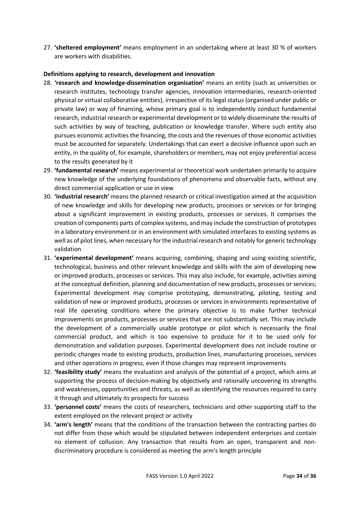27. **'sheltered employment'** means employment in an undertaking where at least 30 % of workers are workers with disabilities.

# **Definitions applying to research, development and innovation**

- 28. **'research and knowledge-dissemination organisation'** means an entity (such as universities or research institutes, technology transfer agencies, innovation intermediaries, research-oriented physical or virtual collaborative entities), irrespective of its legal status (organised under public or private law) or way of financing, whose primary goal is to independently conduct fundamental research, industrial research or experimental development or to widely disseminate the results of such activities by way of teaching, publication or knowledge transfer. Where such entity also pursues economic activities the financing, the costs and the revenues of those economic activities must be accounted for separately. Undertakings that can exert a decisive influence upon such an entity, in the quality of, for example, shareholders or members, may not enjoy preferential access to the results generated by it
- 29. **'fundamental research'** means experimental or theoretical work undertaken primarily to acquire new knowledge of the underlying foundations of phenomena and observable facts, without any direct commercial application or use in view
- 30. **'industrial research'** means the planned research or critical investigation aimed at the acquisition of new knowledge and skills for developing new products, processes or services or for bringing about a significant improvement in existing products, processes or services. It comprises the creation of components parts of complex systems, and may include the construction of prototypes in a laboratory environment or in an environment with simulated interfaces to existing systems as well as of pilot lines, when necessary for the industrial research and notably for generic technology validation
- 31. **'experimental development'** means acquiring, combining, shaping and using existing scientific, technological, business and other relevant knowledge and skills with the aim of developing new or improved products, processes or services. This may also include, for example, activities aiming at the conceptual definition, planning and documentation of new products, processes or services; Experimental development may comprise prototyping, demonstrating, piloting, testing and validation of new or improved products, processes or services in environments representative of real life operating conditions where the primary objective is to make further technical improvements on products, processes or services that are not substantially set. This may include the development of a commercially usable prototype or pilot which is necessarily the final commercial product, and which is too expensive to produce for it to be used only for demonstration and validation purposes. Experimental development does not include routine or periodic changes made to existing products, production lines, manufacturing processes, services and other operations in progress, even if those changes may represent improvements
- 32. **'feasibility study'** means the evaluation and analysis of the potential of a project, which aims at supporting the process of decision-making by objectively and rationally uncovering its strengths and weaknesses, opportunities and threats, as well as identifying the resources required to carry it through and ultimately its prospects for success
- 33. **'personnel costs'** means the costs of researchers, technicians and other supporting staff to the extent employed on the relevant project or activity
- 34. **'arm's length'** means that the conditions of the transaction between the contracting parties do not differ from those which would be stipulated between independent enterprises and contain no element of collusion. Any transaction that results from an open, transparent and nondiscriminatory procedure is considered as meeting the arm's length principle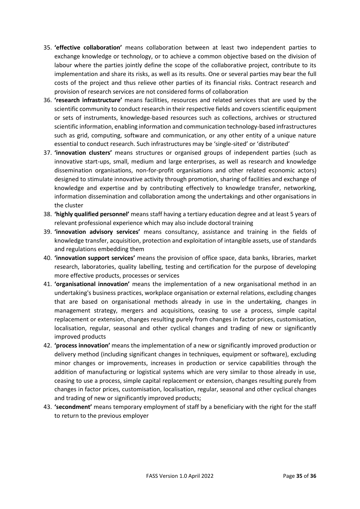- 35. **'effective collaboration'** means collaboration between at least two independent parties to exchange knowledge or technology, or to achieve a common objective based on the division of labour where the parties jointly define the scope of the collaborative project, contribute to its implementation and share its risks, as well as its results. One or several parties may bear the full costs of the project and thus relieve other parties of its financial risks. Contract research and provision of research services are not considered forms of collaboration
- 36. **'research infrastructure'** means facilities, resources and related services that are used by the scientific community to conduct research in their respective fields and covers scientific equipment or sets of instruments, knowledge-based resources such as collections, archives or structured scientific information, enabling information and communication technology-based infrastructures such as grid, computing, software and communication, or any other entity of a unique nature essential to conduct research. Such infrastructures may be 'single-sited' or 'distributed'
- 37. **'innovation clusters'** means structures or organised groups of independent parties (such as innovative start-ups, small, medium and large enterprises, as well as research and knowledge dissemination organisations, non-for-profit organisations and other related economic actors) designed to stimulate innovative activity through promotion, sharing of facilities and exchange of knowledge and expertise and by contributing effectively to knowledge transfer, networking, information dissemination and collaboration among the undertakings and other organisations in the cluster
- 38. **'highly qualified personnel'** means staff having a tertiary education degree and at least 5 years of relevant professional experience which may also include doctoral training
- 39. **'innovation advisory services'** means consultancy, assistance and training in the fields of knowledge transfer, acquisition, protection and exploitation of intangible assets, use of standards and regulations embedding them
- 40. **'innovation support services'** means the provision of office space, data banks, libraries, market research, laboratories, quality labelling, testing and certification for the purpose of developing more effective products, processes or services
- 41. **'organisational innovation'** means the implementation of a new organisational method in an undertaking's business practices, workplace organisation or external relations, excluding changes that are based on organisational methods already in use in the undertaking, changes in management strategy, mergers and acquisitions, ceasing to use a process, simple capital replacement or extension, changes resulting purely from changes in factor prices, customisation, localisation, regular, seasonal and other cyclical changes and trading of new or significantly improved products
- 42. **'process innovation'** means the implementation of a new or significantly improved production or delivery method (including significant changes in techniques, equipment or software), excluding minor changes or improvements, increases in production or service capabilities through the addition of manufacturing or logistical systems which are very similar to those already in use, ceasing to use a process, simple capital replacement or extension, changes resulting purely from changes in factor prices, customisation, localisation, regular, seasonal and other cyclical changes and trading of new or significantly improved products;
- 43. **'secondment'** means temporary employment of staff by a beneficiary with the right for the staff to return to the previous employer